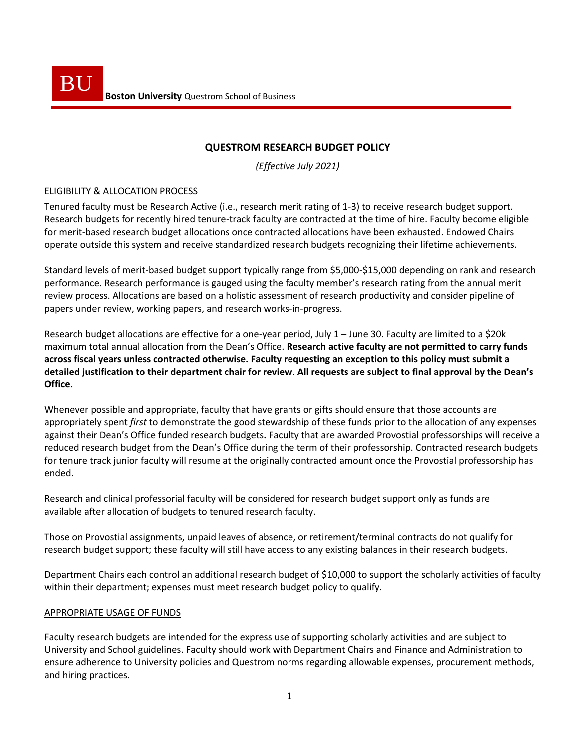# **QUESTROM RESEARCH BUDGET POLICY**

*(Effective July 2021)*

## ELIGIBILITY & ALLOCATION PROCESS

Tenured faculty must be Research Active (i.e., research merit rating of 1-3) to receive research budget support. Research budgets for recently hired tenure-track faculty are contracted at the time of hire. Faculty become eligible for merit-based research budget allocations once contracted allocations have been exhausted. Endowed Chairs operate outside this system and receive standardized research budgets recognizing their lifetime achievements.

Standard levels of merit-based budget support typically range from \$5,000-\$15,000 depending on rank and research performance. Research performance is gauged using the faculty member's research rating from the annual merit review process. Allocations are based on a holistic assessment of research productivity and consider pipeline of papers under review, working papers, and research works-in-progress.

Research budget allocations are effective for a one-year period, July 1 – June 30. Faculty are limited to a \$20k maximum total annual allocation from the Dean's Office. **Research active faculty are not permitted to carry funds across fiscal years unless contracted otherwise. Faculty requesting an exception to this policy must submit a detailed justification to their department chair for review. All requests are subject to final approval by the Dean's Office.** 

Whenever possible and appropriate, faculty that have grants or gifts should ensure that those accounts are appropriately spent *first* to demonstrate the good stewardship of these funds prior to the allocation of any expenses against their Dean's Office funded research budgets**.** Faculty that are awarded Provostial professorships will receive a reduced research budget from the Dean's Office during the term of their professorship. Contracted research budgets for tenure track junior faculty will resume at the originally contracted amount once the Provostial professorship has ended.

Research and clinical professorial faculty will be considered for research budget support only as funds are available after allocation of budgets to tenured research faculty.

Those on Provostial assignments, unpaid leaves of absence, or retirement/terminal contracts do not qualify for research budget support; these faculty will still have access to any existing balances in their research budgets.

Department Chairs each control an additional research budget of \$10,000 to support the scholarly activities of faculty within their department; expenses must meet research budget policy to qualify.

### APPROPRIATE USAGE OF FUNDS

Faculty research budgets are intended for the express use of supporting scholarly activities and are subject to University and School guidelines. Faculty should work with Department Chairs and Finance and Administration to ensure adherence to University policies and Questrom norms regarding allowable expenses, procurement methods, and hiring practices.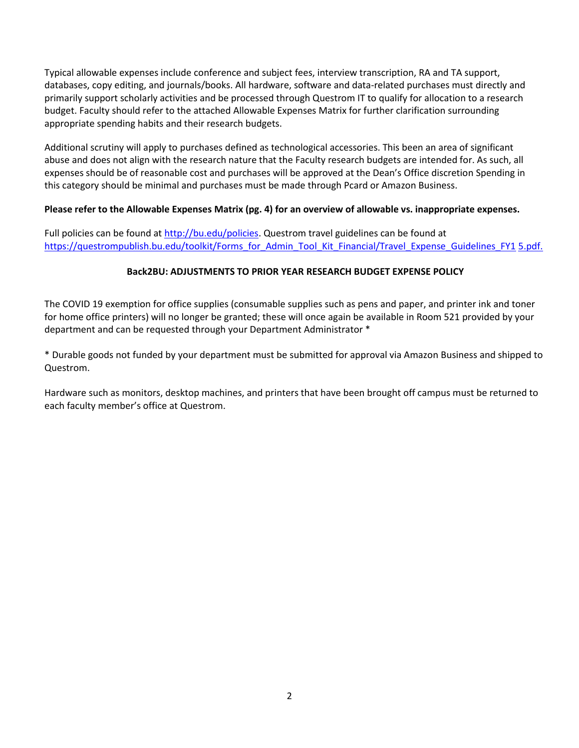Typical allowable expenses include conference and subject fees, interview transcription, RA and TA support, databases, copy editing, and journals/books. All hardware, software and data-related purchases must directly and primarily support scholarly activities and be processed through Questrom IT to qualify for allocation to a research budget. Faculty should refer to the attached Allowable Expenses Matrix for further clarification surrounding appropriate spending habits and their research budgets.

Additional scrutiny will apply to purchases defined as technological accessories. This been an area of significant abuse and does not align with the research nature that the Faculty research budgets are intended for. As such, all expenses should be of reasonable cost and purchases will be approved at the Dean's Office discretion Spending in this category should be minimal and purchases must be made through Pcard or Amazon Business.

### **Please refer to the Allowable Expenses Matrix (pg. 4) for an overview of allowable vs. inappropriate expenses.**

Full policies can be found at [http://bu.edu/policies.](http://bu.edu/policies) Questrom travel guidelines can be found at [https://questrompublish.bu.edu/toolkit/Forms\\_for\\_Admin\\_Tool\\_Kit\\_Financial/Travel\\_Expense\\_Guidelines\\_FY1](https://questrompublish.bu.edu/toolkit/Forms_for_Admin_Tool_Kit_Financial/Travel_Expense_Guidelines_FY15.pdf) [5.pdf.](https://questrompublish.bu.edu/toolkit/Forms_for_Admin_Tool_Kit_Financial/Travel_Expense_Guidelines_FY15.pdf)

## **Back2BU: ADJUSTMENTS TO PRIOR YEAR RESEARCH BUDGET EXPENSE POLICY**

The COVID 19 exemption for office supplies (consumable supplies such as pens and paper, and printer ink and toner for home office printers) will no longer be granted; these will once again be available in Room 521 provided by your department and can be requested through your Department Administrator \*

\* Durable goods not funded by your department must be submitted for approval via Amazon Business and shipped to Questrom.

Hardware such as monitors, desktop machines, and printers that have been brought off campus must be returned to each faculty member's office at Questrom.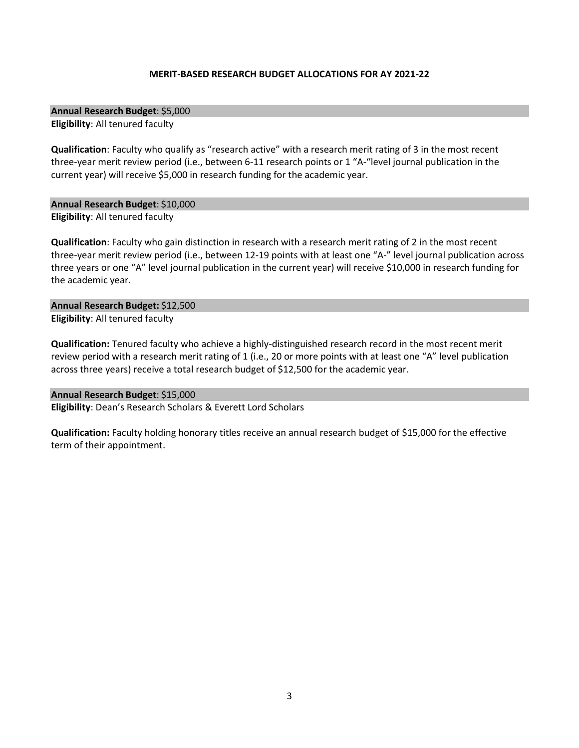#### **MERIT-BASED RESEARCH BUDGET ALLOCATIONS FOR AY 2021-22**

**Annual Research Budget**: \$5,000

**Eligibility**: All tenured faculty

**Qualification**: Faculty who qualify as "research active" with a research merit rating of 3 in the most recent three-year merit review period (i.e., between 6-11 research points or 1 "A-"level journal publication in the current year) will receive \$5,000 in research funding for the academic year.

**Annual Research Budget**: \$10,000 **Eligibility**: All tenured faculty

**Qualification**: Faculty who gain distinction in research with a research merit rating of 2 in the most recent three-year merit review period (i.e., between 12-19 points with at least one "A-" level journal publication across three years or one "A" level journal publication in the current year) will receive \$10,000 in research funding for the academic year.

**Annual Research Budget:** \$12,500 **Eligibility**: All tenured faculty

**Qualification:** Tenured faculty who achieve a highly-distinguished research record in the most recent merit review period with a research merit rating of 1 (i.e., 20 or more points with at least one "A" level publication across three years) receive a total research budget of \$12,500 for the academic year.

**Annual Research Budget**: \$15,000 **Eligibility**: Dean's Research Scholars & Everett Lord Scholars

**Qualification:** Faculty holding honorary titles receive an annual research budget of \$15,000 for the effective term of their appointment.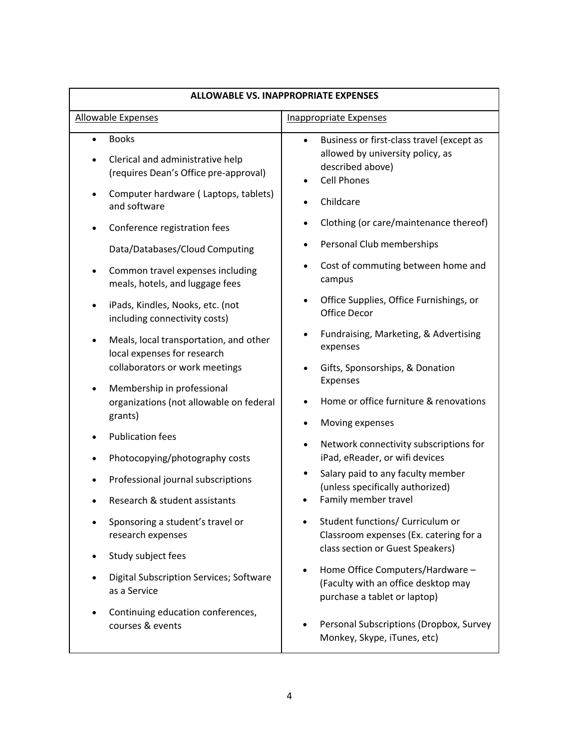| <b>ALLOWABLE VS. INAPPROPRIATE EXPENSES</b>                                                             |                                                                                                                                      |
|---------------------------------------------------------------------------------------------------------|--------------------------------------------------------------------------------------------------------------------------------------|
| <b>Allowable Expenses</b>                                                                               | <b>Inappropriate Expenses</b>                                                                                                        |
| <b>Books</b><br>$\bullet$<br>Clerical and administrative help<br>(requires Dean's Office pre-approval)  | Business or first-class travel (except as<br>$\bullet$<br>allowed by university policy, as<br>described above)<br><b>Cell Phones</b> |
| Computer hardware (Laptops, tablets)<br>and software                                                    | Childcare                                                                                                                            |
| Conference registration fees                                                                            | Clothing (or care/maintenance thereof)                                                                                               |
| Data/Databases/Cloud Computing                                                                          | Personal Club memberships                                                                                                            |
| Common travel expenses including<br>meals, hotels, and luggage fees                                     | Cost of commuting between home and<br>$\bullet$<br>campus                                                                            |
| iPads, Kindles, Nooks, etc. (not<br>including connectivity costs)                                       | Office Supplies, Office Furnishings, or<br><b>Office Decor</b>                                                                       |
| Meals, local transportation, and other<br>local expenses for research<br>collaborators or work meetings | Fundraising, Marketing, & Advertising<br>expenses<br>Gifts, Sponsorships, & Donation                                                 |
| Membership in professional<br>organizations (not allowable on federal<br>grants)                        | Expenses<br>Home or office furniture & renovations                                                                                   |
| <b>Publication fees</b>                                                                                 | Moving expenses<br>٠                                                                                                                 |
| Photocopying/photography costs                                                                          | Network connectivity subscriptions for<br>$\bullet$<br>iPad, eReader, or wifi devices                                                |
| Professional journal subscriptions                                                                      | Salary paid to any faculty member<br>(unless specifically authorized)                                                                |
| Research & student assistants                                                                           | Family member travel                                                                                                                 |
| Sponsoring a student's travel or<br>research expenses                                                   | Student functions/ Curriculum or<br>Classroom expenses (Ex. catering for a                                                           |
| Study subject fees                                                                                      | class section or Guest Speakers)                                                                                                     |
| Digital Subscription Services; Software<br>as a Service                                                 | Home Office Computers/Hardware -<br>$\bullet$<br>(Faculty with an office desktop may<br>purchase a tablet or laptop)                 |
| Continuing education conferences,<br>courses & events                                                   | Personal Subscriptions (Dropbox, Survey<br>Monkey, Skype, iTunes, etc)                                                               |